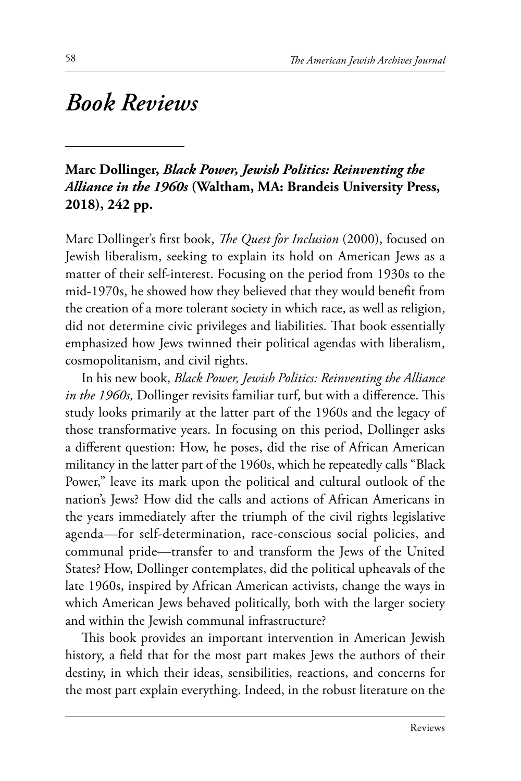# *Book Reviews*

# **Marc Dollinger,** *Black Power, Jewish Politics: Reinventing the Alliance in the 1960s* **(Waltham, MA: Brandeis University Press, 2018), 242 pp.**

Marc Dollinger's first book, *The Quest for Inclusion* (2000), focused on Jewish liberalism, seeking to explain its hold on American Jews as a matter of their self-interest. Focusing on the period from 1930s to the mid-1970s, he showed how they believed that they would benefit from the creation of a more tolerant society in which race, as well as religion, did not determine civic privileges and liabilities. That book essentially emphasized how Jews twinned their political agendas with liberalism, cosmopolitanism, and civil rights.

In his new book, *Black Power, Jewish Politics: Reinventing the Alliance in the 1960s,* Dollinger revisits familiar turf, but with a difference. This study looks primarily at the latter part of the 1960s and the legacy of those transformative years. In focusing on this period, Dollinger asks a different question: How, he poses, did the rise of African American militancy in the latter part of the 1960s, which he repeatedly calls "Black Power," leave its mark upon the political and cultural outlook of the nation's Jews? How did the calls and actions of African Americans in the years immediately after the triumph of the civil rights legislative agenda—for self-determination, race-conscious social policies, and communal pride—transfer to and transform the Jews of the United States? How, Dollinger contemplates, did the political upheavals of the late 1960s, inspired by African American activists, change the ways in which American Jews behaved politically, both with the larger society and within the Jewish communal infrastructure?

This book provides an important intervention in American Jewish history, a field that for the most part makes Jews the authors of their destiny, in which their ideas, sensibilities, reactions, and concerns for the most part explain everything. Indeed, in the robust literature on the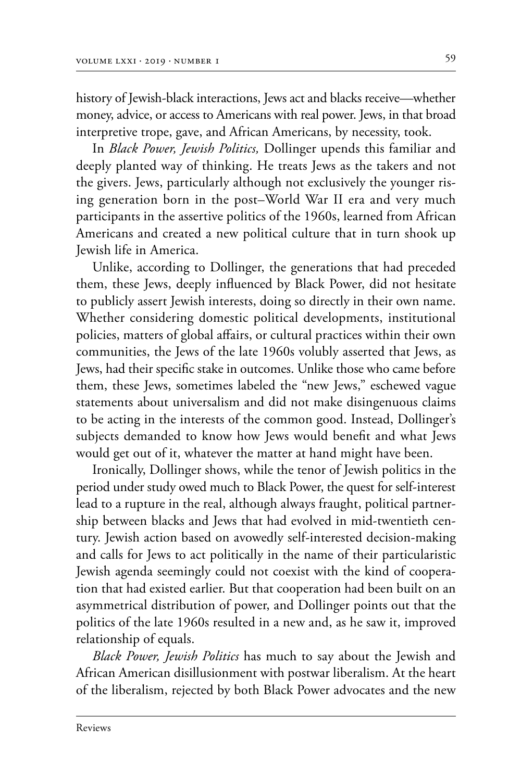history of Jewish-black interactions, Jews act and blacks receive—whether money, advice, or access to Americans with real power. Jews, in that broad interpretive trope, gave, and African Americans, by necessity, took.

In *Black Power, Jewish Politics,* Dollinger upends this familiar and deeply planted way of thinking. He treats Jews as the takers and not the givers. Jews, particularly although not exclusively the younger rising generation born in the post–World War II era and very much participants in the assertive politics of the 1960s, learned from African Americans and created a new political culture that in turn shook up Jewish life in America.

Unlike, according to Dollinger, the generations that had preceded them, these Jews, deeply influenced by Black Power, did not hesitate to publicly assert Jewish interests, doing so directly in their own name. Whether considering domestic political developments, institutional policies, matters of global affairs, or cultural practices within their own communities, the Jews of the late 1960s volubly asserted that Jews, as Jews, had their specific stake in outcomes. Unlike those who came before them, these Jews, sometimes labeled the "new Jews," eschewed vague statements about universalism and did not make disingenuous claims to be acting in the interests of the common good. Instead, Dollinger's subjects demanded to know how Jews would benefit and what Jews would get out of it, whatever the matter at hand might have been.

Ironically, Dollinger shows, while the tenor of Jewish politics in the period under study owed much to Black Power, the quest for self-interest lead to a rupture in the real, although always fraught, political partnership between blacks and Jews that had evolved in mid-twentieth century. Jewish action based on avowedly self-interested decision-making and calls for Jews to act politically in the name of their particularistic Jewish agenda seemingly could not coexist with the kind of cooperation that had existed earlier. But that cooperation had been built on an asymmetrical distribution of power, and Dollinger points out that the politics of the late 1960s resulted in a new and, as he saw it, improved relationship of equals.

*Black Power, Jewish Politics* has much to say about the Jewish and African American disillusionment with postwar liberalism. At the heart of the liberalism, rejected by both Black Power advocates and the new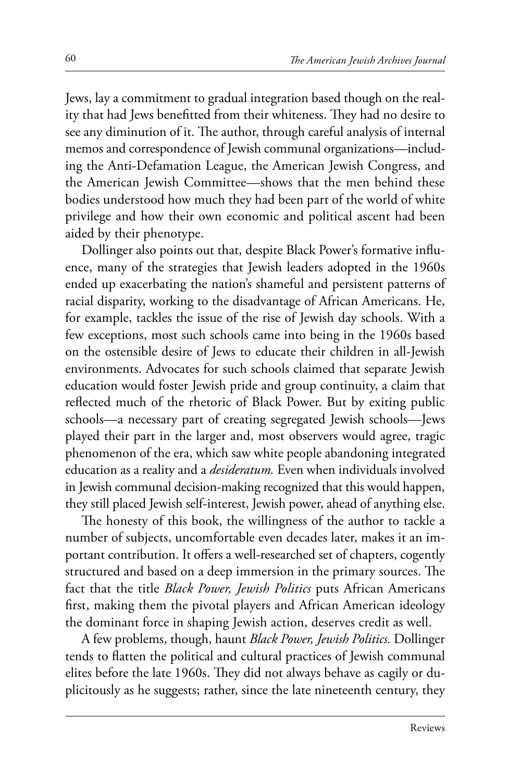Jews, lay a commitment to gradual integration based though on the reality that had Jews benefitted from their whiteness. They had no desire to see any diminution of it. The author, through careful analysis of internal memos and correspondence of Jewish communal organizations-including the Anti-Defamation League, the American Jewish Congress, and the American Jewish Committee—shows that the men behind these bodies understood how much they had been part of the world of white privilege and how their own economic and political ascent had been aided by their phenotype.

Dollinger also points out that, despite Black Power's formative influence, many of the strategies that Jewish leaders adopted in the 1960s ended up exacerbating the nation's shameful and persistent patterns of racial disparity, working to the disadvantage of African Americans. He, for example, tackles the issue of the rise of Jewish day schools. With a few exceptions, most such schools came into being in the 1960s based on the ostensible desire of Jews to educate their children in all-Jewish environments. Advocates for such schools claimed that separate Jewish education would foster Jewish pride and group continuity, a claim that reflected much of the rhetoric of Black Power. But by exiting public schools—a necessary part of creating segregated Jewish schools—Jews played their part in the larger and, most observers would agree, tragic phenomenon of the era, which saw white people abandoning integrated education as a reality and a *desideratum.* Even when individuals involved in Jewish communal decision-making recognized that this would happen, they still placed Jewish self-interest, Jewish power, ahead of anything else.

The honesty of this book, the willingness of the author to tackle a number of subjects, uncomfortable even decades later, makes it an important contribution. It offers a well-researched set of chapters, cogently structured and based on a deep immersion in the primary sources. The fact that the title *Black Power, Jewish Politics* puts African Americans first, making them the pivotal players and African American ideology the dominant force in shaping Jewish action, deserves credit as well.

A few problems, though, haunt *Black Power, Jewish Politics.* Dollinger tends to flatten the political and cultural practices of Jewish communal elites before the late 1960s. They did not always behave as cagily or duplicitously as he suggests; rather, since the late nineteenth century, they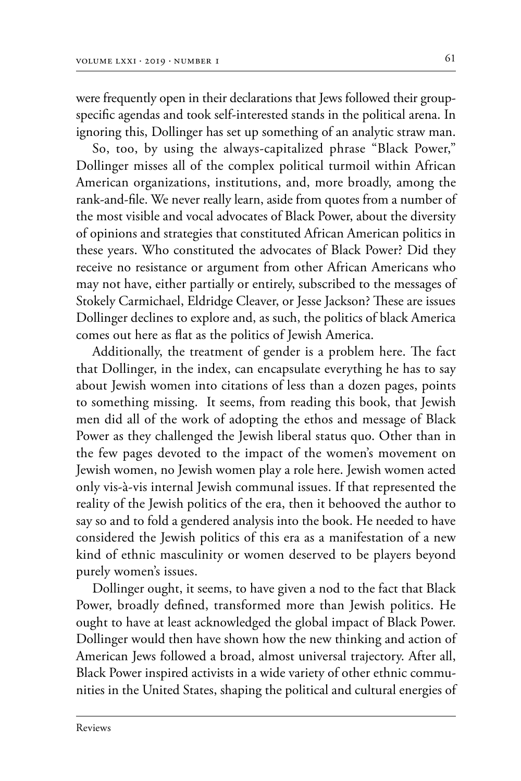were frequently open in their declarations that Jews followed their groupspecific agendas and took self-interested stands in the political arena. In ignoring this, Dollinger has set up something of an analytic straw man.

So, too, by using the always-capitalized phrase "Black Power," Dollinger misses all of the complex political turmoil within African American organizations, institutions, and, more broadly, among the rank-and-file. We never really learn, aside from quotes from a number of the most visible and vocal advocates of Black Power, about the diversity of opinions and strategies that constituted African American politics in these years. Who constituted the advocates of Black Power? Did they receive no resistance or argument from other African Americans who may not have, either partially or entirely, subscribed to the messages of Stokely Carmichael, Eldridge Cleaver, or Jesse Jackson? These are issues Dollinger declines to explore and, as such, the politics of black America comes out here as flat as the politics of Jewish America.

Additionally, the treatment of gender is a problem here. The fact that Dollinger, in the index, can encapsulate everything he has to say about Jewish women into citations of less than a dozen pages, points to something missing. It seems, from reading this book, that Jewish men did all of the work of adopting the ethos and message of Black Power as they challenged the Jewish liberal status quo. Other than in the few pages devoted to the impact of the women's movement on Jewish women, no Jewish women play a role here. Jewish women acted only vis-à-vis internal Jewish communal issues. If that represented the reality of the Jewish politics of the era, then it behooved the author to say so and to fold a gendered analysis into the book. He needed to have considered the Jewish politics of this era as a manifestation of a new kind of ethnic masculinity or women deserved to be players beyond purely women's issues.

Dollinger ought, it seems, to have given a nod to the fact that Black Power, broadly defined, transformed more than Jewish politics. He ought to have at least acknowledged the global impact of Black Power. Dollinger would then have shown how the new thinking and action of American Jews followed a broad, almost universal trajectory. After all, Black Power inspired activists in a wide variety of other ethnic communities in the United States, shaping the political and cultural energies of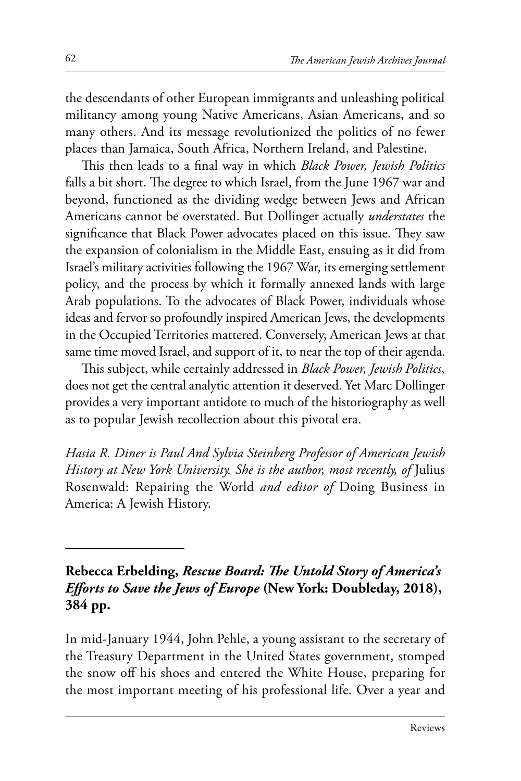the descendants of other European immigrants and unleashing political militancy among young Native Americans, Asian Americans, and so many others. And its message revolutionized the politics of no fewer places than Jamaica, South Africa, Northern Ireland, and Palestine.

This then leads to a final way in which *Black Power, Jewish Politics*  falls a bit short. The degree to which Israel, from the June 1967 war and beyond, functioned as the dividing wedge between Jews and African Americans cannot be overstated. But Dollinger actually *understates* the significance that Black Power advocates placed on this issue. They saw the expansion of colonialism in the Middle East, ensuing as it did from Israel's military activities following the 1967 War, its emerging settlement policy, and the process by which it formally annexed lands with large Arab populations. To the advocates of Black Power, individuals whose ideas and fervor so profoundly inspired American Jews, the developments in the Occupied Territories mattered. Conversely, American Jews at that same time moved Israel, and support of it, to near the top of their agenda.

This subject, while certainly addressed in *Black Power, Jewish Politics*, does not get the central analytic attention it deserved. Yet Marc Dollinger provides a very important antidote to much of the historiography as well as to popular Jewish recollection about this pivotal era.

*Hasia R. Diner is Paul And Sylvia Steinberg Professor of American Jewish History at New York University. She is the author, most recently, of* Julius Rosenwald: Repairing the World *and editor of* Doing Business in America: A Jewish History.

#### **Rebecca Erbelding,** *Rescue Board: The Untold Story of America's Efforts to Save the Jews of Europe* **(New York: Doubleday, 2018), 384 pp.**

In mid-January 1944, John Pehle, a young assistant to the secretary of the Treasury Department in the United States government, stomped the snow off his shoes and entered the White House, preparing for the most important meeting of his professional life. Over a year and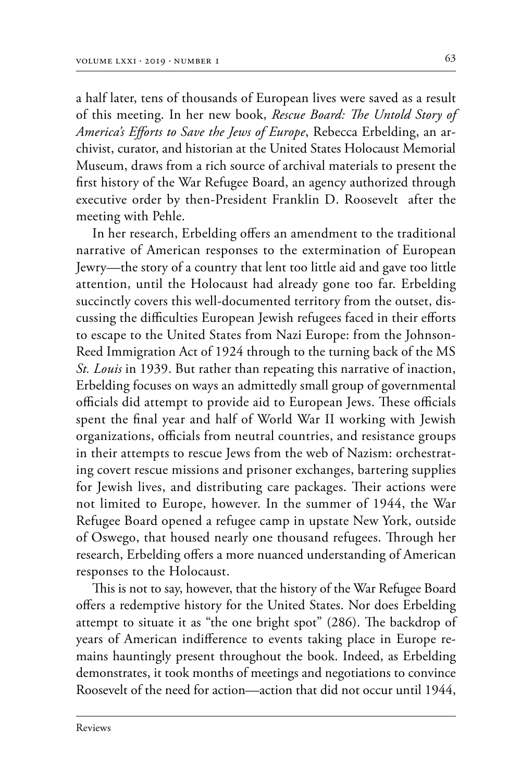a half later, tens of thousands of European lives were saved as a result of this meeting. In her new book, *Rescue Board: The Untold Story of America's Efforts to Save the Jews of Europe*, Rebecca Erbelding, an ar‑ chivist, curator, and historian at the United States Holocaust Memorial Museum, draws from a rich source of archival materials to present the first history of the War Refugee Board, an agency authorized through executive order by then-President Franklin D. Roosevelt after the meeting with Pehle.

In her research, Erbelding offers an amendment to the traditional narrative of American responses to the extermination of European Jewry—the story of a country that lent too little aid and gave too little attention, until the Holocaust had already gone too far. Erbelding succinctly covers this well-documented territory from the outset, discussing the difficulties European Jewish refugees faced in their efforts to escape to the United States from Nazi Europe: from the Johnson-Reed Immigration Act of 1924 through to the turning back of the MS *St. Louis* in 1939. But rather than repeating this narrative of inaction, Erbelding focuses on ways an admittedly small group of governmental officials did attempt to provide aid to European Jews. These officials spent the final year and half of World War II working with Jewish organizations, officials from neutral countries, and resistance groups in their attempts to rescue Jews from the web of Nazism: orchestrating covert rescue missions and prisoner exchanges, bartering supplies for Jewish lives, and distributing care packages. Their actions were not limited to Europe, however. In the summer of 1944, the War Refugee Board opened a refugee camp in upstate New York, outside of Oswego, that housed nearly one thousand refugees. Through her research, Erbelding offers a more nuanced understanding of American responses to the Holocaust.

This is not to say, however, that the history of the War Refugee Board offers a redemptive history for the United States. Nor does Erbelding attempt to situate it as "the one bright spot" (286). The backdrop of years of American indifference to events taking place in Europe re‑ mains hauntingly present throughout the book. Indeed, as Erbelding demonstrates, it took months of meetings and negotiations to convince Roosevelt of the need for action—action that did not occur until 1944,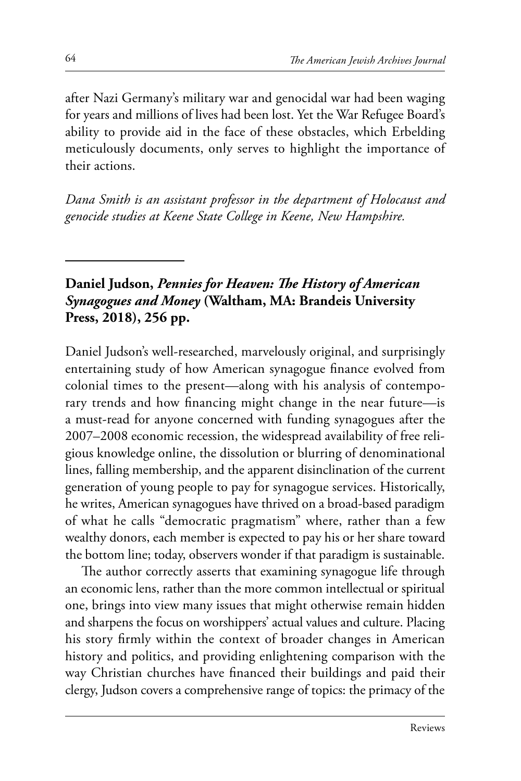after Nazi Germany's military war and genocidal war had been waging for years and millions of lives had been lost. Yet the War Refugee Board's ability to provide aid in the face of these obstacles, which Erbelding meticulously documents, only serves to highlight the importance of their actions.

*Dana Smith is an assistant professor in the department of Holocaust and genocide studies at Keene State College in Keene, New Hampshire.*

# **Daniel Judson,** *Pennies for Heaven: The History of American Synagogues and Money* **(Waltham, MA: Brandeis University Press, 2018), 256 pp.**

Daniel Judson's well-researched, marvelously original, and surprisingly entertaining study of how American synagogue finance evolved from colonial times to the present—along with his analysis of contemporary trends and how financing might change in the near future—is a must-read for anyone concerned with funding synagogues after the 2007–2008 economic recession, the widespread availability of free religious knowledge online, the dissolution or blurring of denominational lines, falling membership, and the apparent disinclination of the current generation of young people to pay for synagogue services. Historically, he writes, American synagogues have thrived on a broad-based paradigm of what he calls "democratic pragmatism" where, rather than a few wealthy donors, each member is expected to pay his or her share toward the bottom line; today, observers wonder if that paradigm is sustainable.

The author correctly asserts that examining synagogue life through an economic lens, rather than the more common intellectual or spiritual one, brings into view many issues that might otherwise remain hidden and sharpens the focus on worshippers' actual values and culture. Placing his story firmly within the context of broader changes in American history and politics, and providing enlightening comparison with the way Christian churches have financed their buildings and paid their clergy, Judson covers a comprehensive range of topics: the primacy of the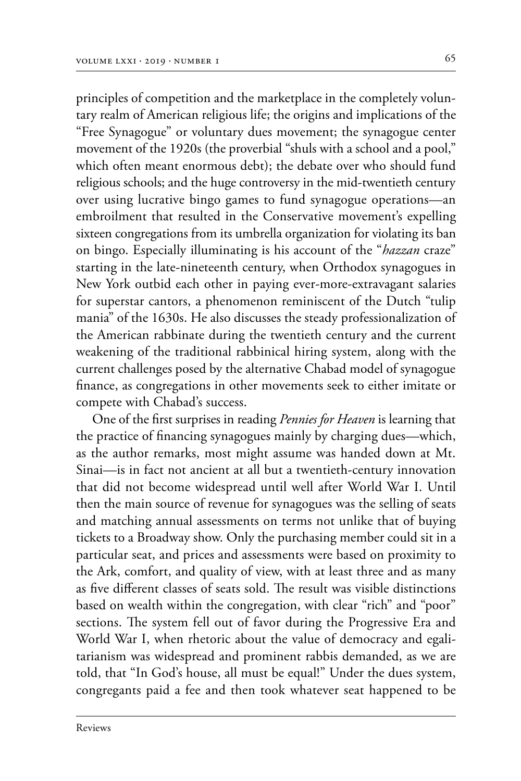principles of competition and the marketplace in the completely voluntary realm of American religious life; the origins and implications of the "Free Synagogue" or voluntary dues movement; the synagogue center movement of the 1920s (the proverbial "shuls with a school and a pool," which often meant enormous debt); the debate over who should fund religious schools; and the huge controversy in the mid-twentieth century over using lucrative bingo games to fund synagogue operations—an embroilment that resulted in the Conservative movement's expelling sixteen congregations from its umbrella organization for violating its ban on bingo. Especially illuminating is his account of the "*hazzan* craze" starting in the late-nineteenth century, when Orthodox synagogues in New York outbid each other in paying ever-more-extravagant salaries for superstar cantors, a phenomenon reminiscent of the Dutch "tulip mania" of the 1630s. He also discusses the steady professionalization of the American rabbinate during the twentieth century and the current weakening of the traditional rabbinical hiring system, along with the current challenges posed by the alternative Chabad model of synagogue finance, as congregations in other movements seek to either imitate or compete with Chabad's success.

One of the first surprises in reading *Pennies for Heaven* is learning that the practice of financing synagogues mainly by charging dues—which, as the author remarks, most might assume was handed down at Mt. Sinai—is in fact not ancient at all but a twentieth-century innovation that did not become widespread until well after World War I. Until then the main source of revenue for synagogues was the selling of seats and matching annual assessments on terms not unlike that of buying tickets to a Broadway show. Only the purchasing member could sit in a particular seat, and prices and assessments were based on proximity to the Ark, comfort, and quality of view, with at least three and as many as five different classes of seats sold. The result was visible distinctions based on wealth within the congregation, with clear "rich" and "poor" sections. The system fell out of favor during the Progressive Era and World War I, when rhetoric about the value of democracy and egalitarianism was widespread and prominent rabbis demanded, as we are told, that "In God's house, all must be equal!" Under the dues system, congregants paid a fee and then took whatever seat happened to be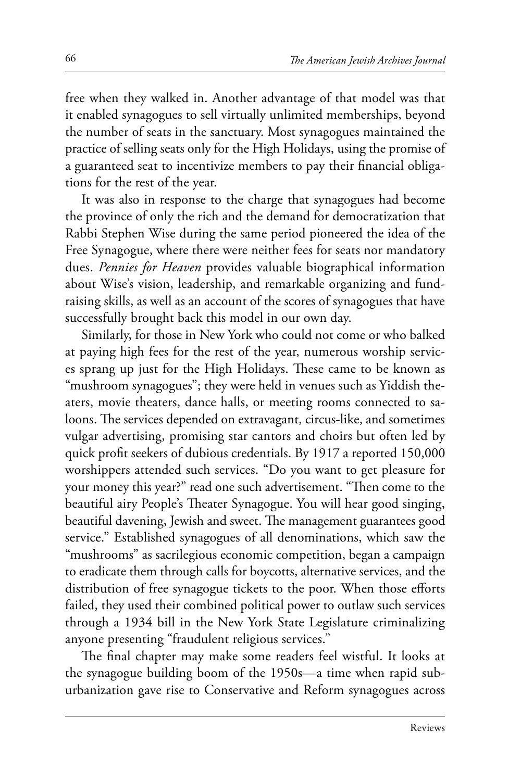free when they walked in. Another advantage of that model was that it enabled synagogues to sell virtually unlimited memberships, beyond the number of seats in the sanctuary. Most synagogues maintained the practice of selling seats only for the High Holidays, using the promise of a guaranteed seat to incentivize members to pay their financial obligations for the rest of the year.

It was also in response to the charge that synagogues had become the province of only the rich and the demand for democratization that Rabbi Stephen Wise during the same period pioneered the idea of the Free Synagogue, where there were neither fees for seats nor mandatory dues. *Pennies for Heaven* provides valuable biographical information about Wise's vision, leadership, and remarkable organizing and fundraising skills, as well as an account of the scores of synagogues that have successfully brought back this model in our own day.

Similarly, for those in New York who could not come or who balked at paying high fees for the rest of the year, numerous worship services sprang up just for the High Holidays. These came to be known as "mushroom synagogues"; they were held in venues such as Yiddish theaters, movie theaters, dance halls, or meeting rooms connected to saloons. The services depended on extravagant, circus-like, and sometimes vulgar advertising, promising star cantors and choirs but often led by quick profit seekers of dubious credentials. By 1917 a reported 150,000 worshippers attended such services. "Do you want to get pleasure for your money this year?" read one such advertisement. "Then come to the beautiful airy People's Theater Synagogue. You will hear good singing, beautiful davening, Jewish and sweet. The management guarantees good service." Established synagogues of all denominations, which saw the "mushrooms" as sacrilegious economic competition, began a campaign to eradicate them through calls for boycotts, alternative services, and the distribution of free synagogue tickets to the poor. When those efforts failed, they used their combined political power to outlaw such services through a 1934 bill in the New York State Legislature criminalizing anyone presenting "fraudulent religious services."

The final chapter may make some readers feel wistful. It looks at the synagogue building boom of the 1950s—a time when rapid suburbanization gave rise to Conservative and Reform synagogues across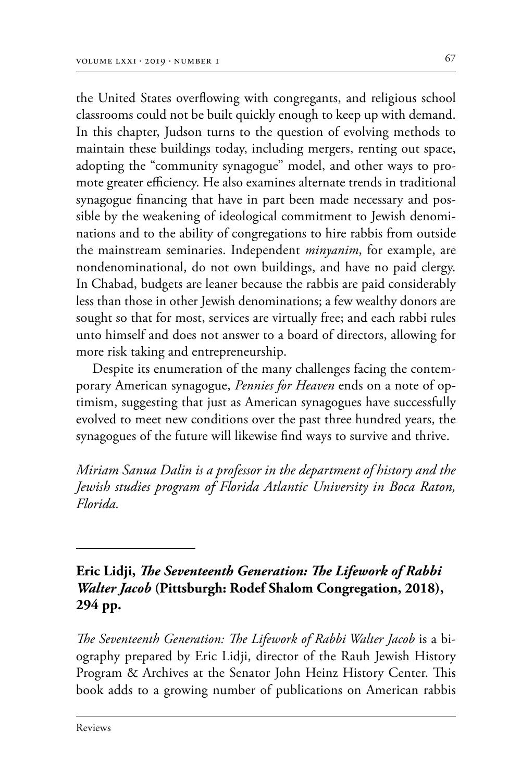the United States overflowing with congregants, and religious school classrooms could not be built quickly enough to keep up with demand. In this chapter, Judson turns to the question of evolving methods to maintain these buildings today, including mergers, renting out space, adopting the "community synagogue" model, and other ways to promote greater efficiency. He also examines alternate trends in traditional synagogue financing that have in part been made necessary and possible by the weakening of ideological commitment to Jewish denominations and to the ability of congregations to hire rabbis from outside the mainstream seminaries. Independent *minyanim*, for example, are nondenominational, do not own buildings, and have no paid clergy. In Chabad, budgets are leaner because the rabbis are paid considerably less than those in other Jewish denominations; a few wealthy donors are sought so that for most, services are virtually free; and each rabbi rules unto himself and does not answer to a board of directors, allowing for more risk taking and entrepreneurship.

Despite its enumeration of the many challenges facing the contemporary American synagogue, *Pennies for Heaven* ends on a note of optimism, suggesting that just as American synagogues have successfully evolved to meet new conditions over the past three hundred years, the synagogues of the future will likewise find ways to survive and thrive.

*Miriam Sanua Dalin is a professor in the department of history and the Jewish studies program of Florida Atlantic University in Boca Raton, Florida.*

## **Eric Lidji,** *The Seventeenth Generation: The Lifework of Rabbi Walter Jacob* **(Pittsburgh: Rodef Shalom Congregation, 2018), 294 pp.**

*The Seventeenth Generation: The Lifework of Rabbi Walter Jacob* is a bi‑ ography prepared by Eric Lidji, director of the Rauh Jewish History Program & Archives at the Senator John Heinz History Center. This book adds to a growing number of publications on American rabbis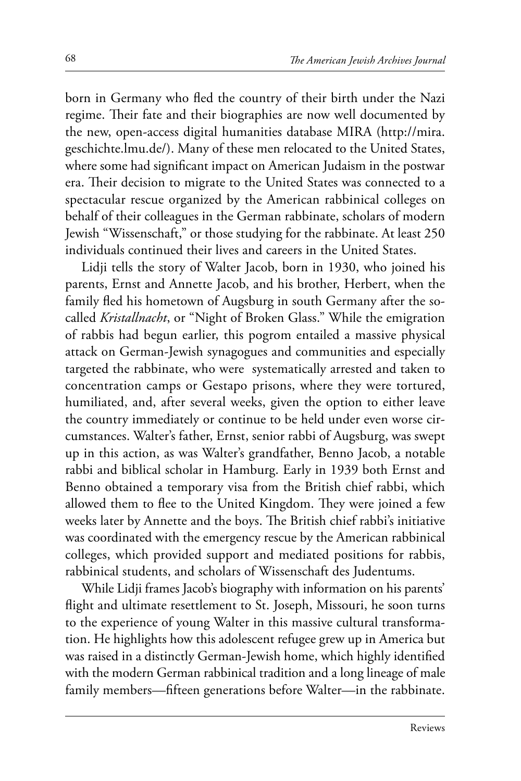born in Germany who fled the country of their birth under the Nazi regime. Their fate and their biographies are now well documented by the new, open-access digital humanities database MIRA (http://mira. geschichte.lmu.de/). Many of these men relocated to the United States, where some had significant impact on American Judaism in the postwar era. Their decision to migrate to the United States was connected to a spectacular rescue organized by the American rabbinical colleges on behalf of their colleagues in the German rabbinate, scholars of modern Jewish "Wissenschaft," or those studying for the rabbinate. At least 250 individuals continued their lives and careers in the United States.

Lidji tells the story of Walter Jacob, born in 1930, who joined his parents, Ernst and Annette Jacob, and his brother, Herbert, when the family fled his hometown of Augsburg in south Germany after the socalled *Kristallnacht*, or "Night of Broken Glass." While the emigration of rabbis had begun earlier, this pogrom entailed a massive physical attack on German-Jewish synagogues and communities and especially targeted the rabbinate, who were systematically arrested and taken to concentration camps or Gestapo prisons, where they were tortured, humiliated, and, after several weeks, given the option to either leave the country immediately or continue to be held under even worse circumstances. Walter's father, Ernst, senior rabbi of Augsburg, was swept up in this action, as was Walter's grandfather, Benno Jacob, a notable rabbi and biblical scholar in Hamburg. Early in 1939 both Ernst and Benno obtained a temporary visa from the British chief rabbi, which allowed them to flee to the United Kingdom. They were joined a few weeks later by Annette and the boys. The British chief rabbi's initiative was coordinated with the emergency rescue by the American rabbinical colleges, which provided support and mediated positions for rabbis, rabbinical students, and scholars of Wissenschaft des Judentums.

While Lidji frames Jacob's biography with information on his parents' flight and ultimate resettlement to St. Joseph, Missouri, he soon turns to the experience of young Walter in this massive cultural transformation. He highlights how this adolescent refugee grew up in America but was raised in a distinctly German-Jewish home, which highly identified with the modern German rabbinical tradition and a long lineage of male family members—fifteen generations before Walter—in the rabbinate.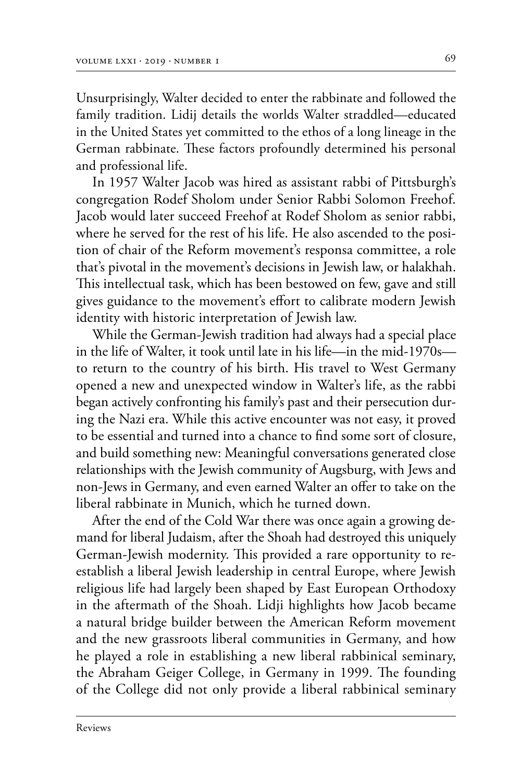Unsurprisingly, Walter decided to enter the rabbinate and followed the family tradition. Lidij details the worlds Walter straddled—educated in the United States yet committed to the ethos of a long lineage in the German rabbinate. These factors profoundly determined his personal and professional life.

In 1957 Walter Jacob was hired as assistant rabbi of Pittsburgh's congregation Rodef Sholom under Senior Rabbi Solomon Freehof. Jacob would later succeed Freehof at Rodef Sholom as senior rabbi, where he served for the rest of his life. He also ascended to the position of chair of the Reform movement's responsa committee, a role that's pivotal in the movement's decisions in Jewish law, or halakhah. This intellectual task, which has been bestowed on few, gave and still gives guidance to the movement's effort to calibrate modern Jewish identity with historic interpretation of Jewish law.

While the German-Jewish tradition had always had a special place in the life of Walter, it took until late in his life—in the mid-1970s to return to the country of his birth. His travel to West Germany opened a new and unexpected window in Walter's life, as the rabbi began actively confronting his family's past and their persecution during the Nazi era. While this active encounter was not easy, it proved to be essential and turned into a chance to find some sort of closure, and build something new: Meaningful conversations generated close relationships with the Jewish community of Augsburg, with Jews and non-Jews in Germany, and even earned Walter an offer to take on the liberal rabbinate in Munich, which he turned down.

After the end of the Cold War there was once again a growing demand for liberal Judaism, after the Shoah had destroyed this uniquely German-Jewish modernity. This provided a rare opportunity to reestablish a liberal Jewish leadership in central Europe, where Jewish religious life had largely been shaped by East European Orthodoxy in the aftermath of the Shoah. Lidji highlights how Jacob became a natural bridge builder between the American Reform movement and the new grassroots liberal communities in Germany, and how he played a role in establishing a new liberal rabbinical seminary, the Abraham Geiger College, in Germany in 1999. The founding of the College did not only provide a liberal rabbinical seminary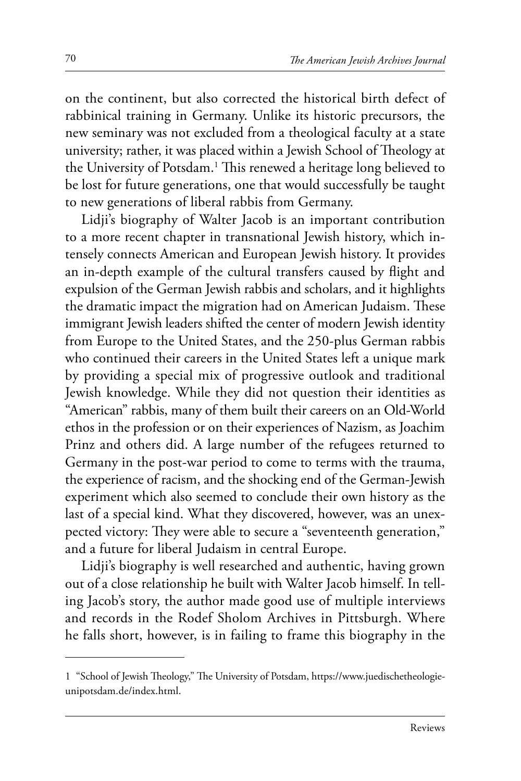on the continent, but also corrected the historical birth defect of rabbinical training in Germany. Unlike its historic precursors, the new seminary was not excluded from a theological faculty at a state university; rather, it was placed within a Jewish School of Theology at the University of Potsdam.<sup>1</sup> This renewed a heritage long believed to be lost for future generations, one that would successfully be taught to new generations of liberal rabbis from Germany.

Lidji's biography of Walter Jacob is an important contribution to a more recent chapter in transnational Jewish history, which intensely connects American and European Jewish history. It provides an in-depth example of the cultural transfers caused by flight and expulsion of the German Jewish rabbis and scholars, and it highlights the dramatic impact the migration had on American Judaism. These immigrant Jewish leaders shifted the center of modern Jewish identity from Europe to the United States, and the 250-plus German rabbis who continued their careers in the United States left a unique mark by providing a special mix of progressive outlook and traditional Jewish knowledge. While they did not question their identities as "American" rabbis, many of them built their careers on an Old-World ethos in the profession or on their experiences of Nazism, as Joachim Prinz and others did. A large number of the refugees returned to Germany in the post-war period to come to terms with the trauma, the experience of racism, and the shocking end of the German-Jewish experiment which also seemed to conclude their own history as the last of a special kind. What they discovered, however, was an unexpected victory: They were able to secure a "seventeenth generation," and a future for liberal Judaism in central Europe.

Lidji's biography is well researched and authentic, having grown out of a close relationship he built with Walter Jacob himself. In telling Jacob's story, the author made good use of multiple interviews and records in the Rodef Sholom Archives in Pittsburgh. Where he falls short, however, is in failing to frame this biography in the

<sup>1</sup> "School of Jewish Theology," The University of Potsdam, https://www.juedischetheologieunipotsdam.de/index.html.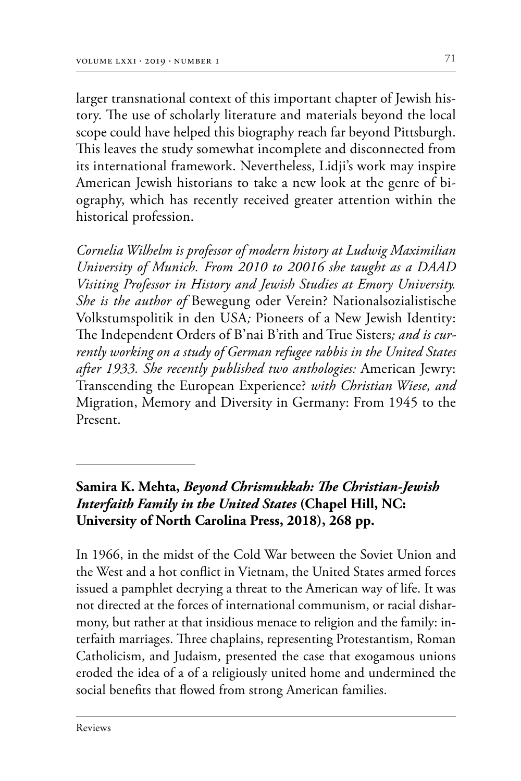larger transnational context of this important chapter of Jewish history. The use of scholarly literature and materials beyond the local scope could have helped this biography reach far beyond Pittsburgh. This leaves the study somewhat incomplete and disconnected from its international framework. Nevertheless, Lidji's work may inspire American Jewish historians to take a new look at the genre of biography, which has recently received greater attention within the historical profession.

*Cornelia Wilhelm is professor of modern history at Ludwig Maximilian University of Munich. From 2010 to 20016 she taught as a DAAD Visiting Professor in History and Jewish Studies at Emory University. She is the author of* Bewegung oder Verein? Nationalsozialistische Volkstumspolitik in den USA*;* Pioneers of a New Jewish Identity: The Independent Orders of B'nai B'rith and True Sisters*; and is currently working on a study of German refugee rabbis in the United States after 1933. She recently published two anthologies:* American Jewry: Transcending the European Experience? *with Christian Wiese, and*  Migration, Memory and Diversity in Germany: From 1945 to the Present.

#### **Samira K. Mehta,** *Beyond Chrismukkah: The Christian-Jewish Interfaith Family in the United States* **(Chapel Hill, NC: University of North Carolina Press, 2018), 268 pp.**

In 1966, in the midst of the Cold War between the Soviet Union and the West and a hot conflict in Vietnam, the United States armed forces issued a pamphlet decrying a threat to the American way of life. It was not directed at the forces of international communism, or racial disharmony, but rather at that insidious menace to religion and the family: interfaith marriages. Three chaplains, representing Protestantism, Roman Catholicism, and Judaism, presented the case that exogamous unions eroded the idea of a of a religiously united home and undermined the social benefits that flowed from strong American families.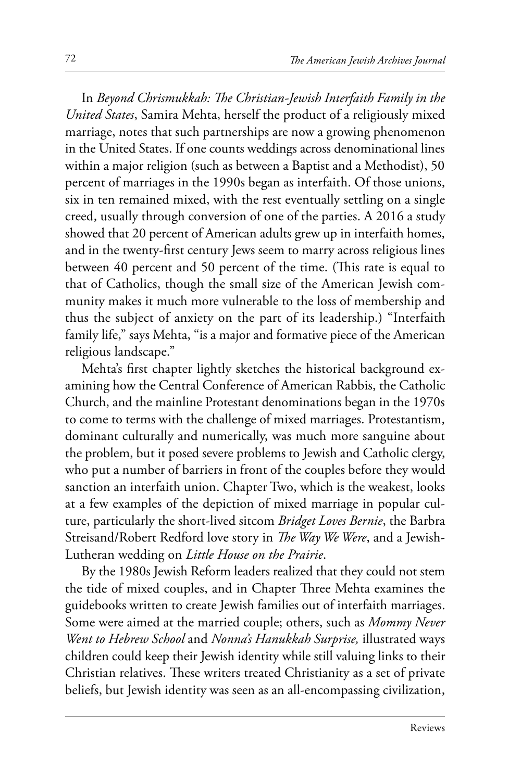In *Beyond Chrismukkah: The Christian-Jewish Interfaith Family in the United States*, Samira Mehta, herself the product of a religiously mixed marriage, notes that such partnerships are now a growing phenomenon in the United States. If one counts weddings across denominational lines within a major religion (such as between a Baptist and a Methodist), 50 percent of marriages in the 1990s began as interfaith. Of those unions, six in ten remained mixed, with the rest eventually settling on a single creed, usually through conversion of one of the parties. A 2016 a study showed that 20 percent of American adults grew up in interfaith homes, and in the twenty-first century Jews seem to marry across religious lines between 40 percent and 50 percent of the time. (This rate is equal to that of Catholics, though the small size of the American Jewish community makes it much more vulnerable to the loss of membership and thus the subject of anxiety on the part of its leadership.) "Interfaith family life," says Mehta, "is a major and formative piece of the American religious landscape."

Mehta's first chapter lightly sketches the historical background examining how the Central Conference of American Rabbis, the Catholic Church, and the mainline Protestant denominations began in the 1970s to come to terms with the challenge of mixed marriages. Protestantism, dominant culturally and numerically, was much more sanguine about the problem, but it posed severe problems to Jewish and Catholic clergy, who put a number of barriers in front of the couples before they would sanction an interfaith union. Chapter Two, which is the weakest, looks at a few examples of the depiction of mixed marriage in popular culture, particularly the short-lived sitcom *Bridget Loves Bernie*, the Barbra Streisand/Robert Redford love story in *The Way We Were*, and a Jewish-Lutheran wedding on *Little House on the Prairie*.

By the 1980s Jewish Reform leaders realized that they could not stem the tide of mixed couples, and in Chapter Three Mehta examines the guidebooks written to create Jewish families out of interfaith marriages. Some were aimed at the married couple; others, such as *Mommy Never Went to Hebrew School* and *Nonna's Hanukkah Surprise,* illustrated ways children could keep their Jewish identity while still valuing links to their Christian relatives. These writers treated Christianity as a set of private beliefs, but Jewish identity was seen as an all-encompassing civilization,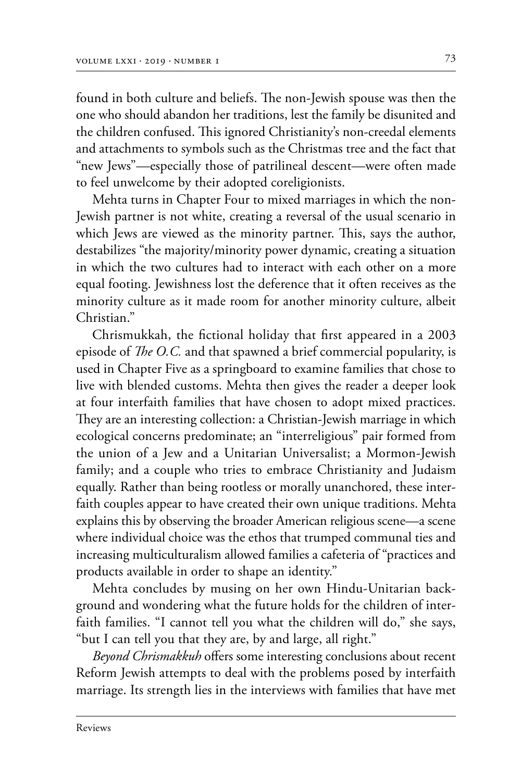found in both culture and beliefs. The non-Jewish spouse was then the one who should abandon her traditions, lest the family be disunited and the children confused. This ignored Christianity's non-creedal elements and attachments to symbols such as the Christmas tree and the fact that "new Jews"—especially those of patrilineal descent—were often made to feel unwelcome by their adopted coreligionists.

Mehta turns in Chapter Four to mixed marriages in which the non-Jewish partner is not white, creating a reversal of the usual scenario in which Jews are viewed as the minority partner. This, says the author, destabilizes "the majority/minority power dynamic, creating a situation in which the two cultures had to interact with each other on a more equal footing. Jewishness lost the deference that it often receives as the minority culture as it made room for another minority culture, albeit Christian<sup>"</sup>

Chrismukkah, the fictional holiday that first appeared in a 2003 episode of *The O.C.* and that spawned a brief commercial popularity, is used in Chapter Five as a springboard to examine families that chose to live with blended customs. Mehta then gives the reader a deeper look at four interfaith families that have chosen to adopt mixed practices. They are an interesting collection: a Christian-Jewish marriage in which ecological concerns predominate; an "interreligious" pair formed from the union of a Jew and a Unitarian Universalist; a Mormon-Jewish family; and a couple who tries to embrace Christianity and Judaism equally. Rather than being rootless or morally unanchored, these interfaith couples appear to have created their own unique traditions. Mehta explains this by observing the broader American religious scene—a scene where individual choice was the ethos that trumped communal ties and increasing multiculturalism allowed families a cafeteria of "practices and products available in order to shape an identity."

Mehta concludes by musing on her own Hindu-Unitarian background and wondering what the future holds for the children of interfaith families. "I cannot tell you what the children will do," she says, "but I can tell you that they are, by and large, all right."

*Beyond Chrismakkuh* offers some interesting conclusions about recent Reform Jewish attempts to deal with the problems posed by interfaith marriage. Its strength lies in the interviews with families that have met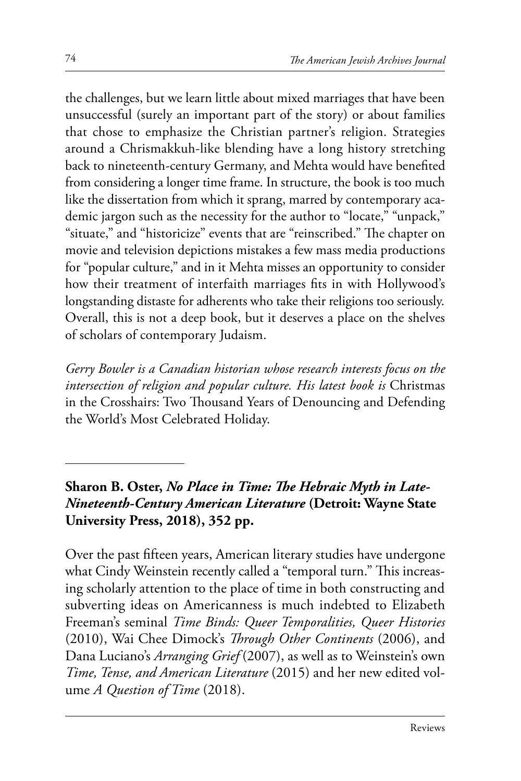the challenges, but we learn little about mixed marriages that have been unsuccessful (surely an important part of the story) or about families that chose to emphasize the Christian partner's religion. Strategies around a Chrismakkuh-like blending have a long history stretching back to nineteenth-century Germany, and Mehta would have benefited from considering a longer time frame. In structure, the book is too much like the dissertation from which it sprang, marred by contemporary academic jargon such as the necessity for the author to "locate," "unpack," "situate," and "historicize" events that are "reinscribed." The chapter on movie and television depictions mistakes a few mass media productions for "popular culture," and in it Mehta misses an opportunity to consider how their treatment of interfaith marriages fits in with Hollywood's longstanding distaste for adherents who take their religions too seriously. Overall, this is not a deep book, but it deserves a place on the shelves of scholars of contemporary Judaism.

*Gerry Bowler is a Canadian historian whose research interests focus on the intersection of religion and popular culture. His latest book is* Christmas in the Crosshairs: Two Thousand Years of Denouncing and Defending the World's Most Celebrated Holiday.

**Sharon B. Oster,** *No Place in Time: The Hebraic Myth in Late-Nineteenth-Century American Literature* **(Detroit: Wayne State University Press, 2018), 352 pp.**

Over the past fifteen years, American literary studies have undergone what Cindy Weinstein recently called a "temporal turn." This increasing scholarly attention to the place of time in both constructing and subverting ideas on Americanness is much indebted to Elizabeth Freeman's seminal *Time Binds: Queer Temporalities, Queer Histories* (2010), Wai Chee Dimock's *Through Other Continents* (2006), and Dana Luciano's *Arranging Grief* (2007), as well as to Weinstein's own *Time, Tense, and American Literature* (2015) and her new edited volume *A Question of Time* (2018).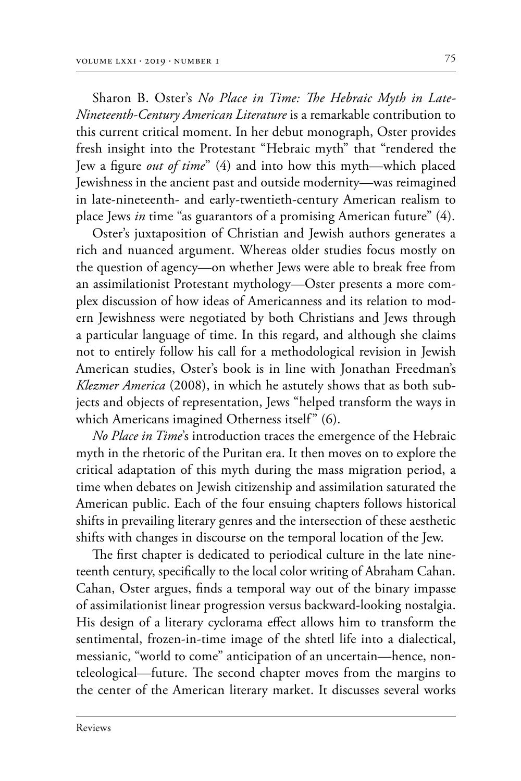Sharon B. Oster's *No Place in Time: The Hebraic Myth in Late-Nineteenth-Century American Literature* is a remarkable contribution to this current critical moment. In her debut monograph, Oster provides fresh insight into the Protestant "Hebraic myth" that "rendered the Jew a figure *out of time*" (4) and into how this myth—which placed Jewishness in the ancient past and outside modernity—was reimagined in late-nineteenth- and early-twentieth-century American realism to place Jews *in* time "as guarantors of a promising American future" (4).

Oster's juxtaposition of Christian and Jewish authors generates a rich and nuanced argument. Whereas older studies focus mostly on the question of agency—on whether Jews were able to break free from an assimilationist Protestant mythology—Oster presents a more complex discussion of how ideas of Americanness and its relation to modern Jewishness were negotiated by both Christians and Jews through a particular language of time. In this regard, and although she claims not to entirely follow his call for a methodological revision in Jewish American studies, Oster's book is in line with Jonathan Freedman's *Klezmer America* (2008), in which he astutely shows that as both subjects and objects of representation, Jews "helped transform the ways in which Americans imagined Otherness itself" (6).

*No Place in Time*'s introduction traces the emergence of the Hebraic myth in the rhetoric of the Puritan era. It then moves on to explore the critical adaptation of this myth during the mass migration period, a time when debates on Jewish citizenship and assimilation saturated the American public. Each of the four ensuing chapters follows historical shifts in prevailing literary genres and the intersection of these aesthetic shifts with changes in discourse on the temporal location of the Jew.

The first chapter is dedicated to periodical culture in the late nineteenth century, specifically to the local color writing of Abraham Cahan. Cahan, Oster argues, finds a temporal way out of the binary impasse of assimilationist linear progression versus backward-looking nostalgia. His design of a literary cyclorama effect allows him to transform the sentimental, frozen-in-time image of the shtetl life into a dialectical, messianic, "world to come" anticipation of an uncertain—hence, nonteleological—future. The second chapter moves from the margins to the center of the American literary market. It discusses several works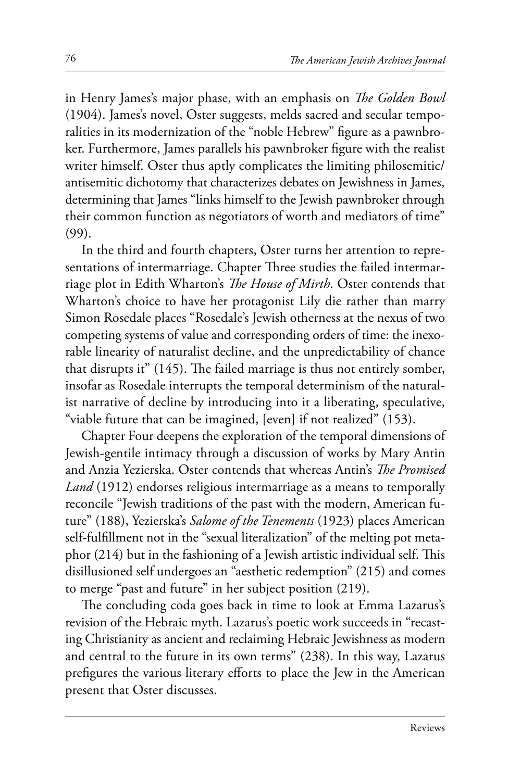in Henry James's major phase, with an emphasis on *The Golden Bowl*  (1904). James's novel, Oster suggests, melds sacred and secular temporalities in its modernization of the "noble Hebrew" figure as a pawnbroker. Furthermore, James parallels his pawnbroker figure with the realist writer himself. Oster thus aptly complicates the limiting philosemitic/ antisemitic dichotomy that characterizes debates on Jewishness in James, determining that James "links himself to the Jewish pawnbroker through their common function as negotiators of worth and mediators of time" (99).

In the third and fourth chapters, Oster turns her attention to representations of intermarriage. Chapter Three studies the failed intermarriage plot in Edith Wharton's *The House of Mirth*. Oster contends that Wharton's choice to have her protagonist Lily die rather than marry Simon Rosedale places "Rosedale's Jewish otherness at the nexus of two competing systems of value and corresponding orders of time: the inexorable linearity of naturalist decline, and the unpredictability of chance that disrupts it" (145). The failed marriage is thus not entirely somber, insofar as Rosedale interrupts the temporal determinism of the naturalist narrative of decline by introducing into it a liberating, speculative, "viable future that can be imagined, [even] if not realized" (153).

Chapter Four deepens the exploration of the temporal dimensions of Jewish-gentile intimacy through a discussion of works by Mary Antin and Anzia Yezierska. Oster contends that whereas Antin's *The Promised Land* (1912) endorses religious intermarriage as a means to temporally reconcile "Jewish traditions of the past with the modern, American future" (188), Yezierska's *Salome of the Tenements* (1923) places American self-fulfillment not in the "sexual literalization" of the melting pot metaphor (214) but in the fashioning of a Jewish artistic individual self. This disillusioned self undergoes an "aesthetic redemption" (215) and comes to merge "past and future" in her subject position (219).

The concluding coda goes back in time to look at Emma Lazarus's revision of the Hebraic myth. Lazarus's poetic work succeeds in "recasting Christianity as ancient and reclaiming Hebraic Jewishness as modern and central to the future in its own terms" (238). In this way, Lazarus prefigures the various literary efforts to place the Jew in the American present that Oster discusses.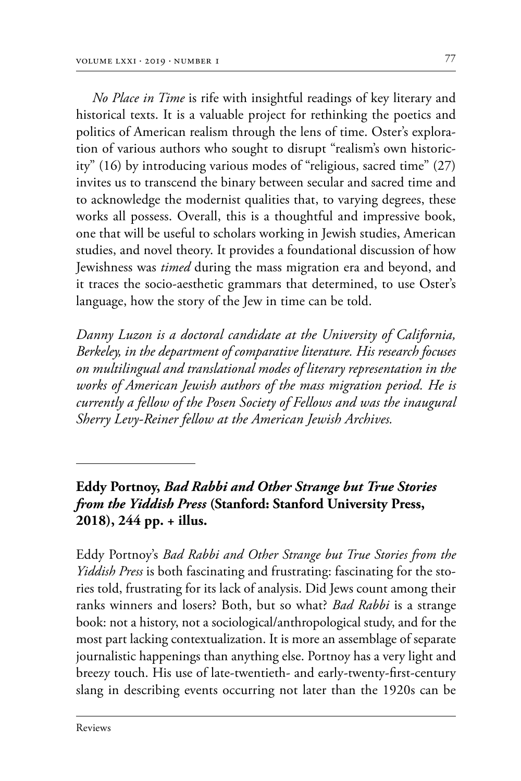*No Place in Time* is rife with insightful readings of key literary and historical texts. It is a valuable project for rethinking the poetics and politics of American realism through the lens of time. Oster's exploration of various authors who sought to disrupt "realism's own historicity" (16) by introducing various modes of "religious, sacred time" (27) invites us to transcend the binary between secular and sacred time and to acknowledge the modernist qualities that, to varying degrees, these works all possess. Overall, this is a thoughtful and impressive book, one that will be useful to scholars working in Jewish studies, American studies, and novel theory. It provides a foundational discussion of how Jewishness was *timed* during the mass migration era and beyond, and it traces the socio-aesthetic grammars that determined, to use Oster's language, how the story of the Jew in time can be told.

*Danny Luzon is a doctoral candidate at the University of California, Berkeley, in the department of comparative literature. His research focuses on multilingual and translational modes of literary representation in the works of American Jewish authors of the mass migration period. He is currently a fellow of the Posen Society of Fellows and was the inaugural Sherry Levy-Reiner fellow at the American Jewish Archives.*

## **Eddy Portnoy,** *Bad Rabbi and Other Strange but True Stories from the Yiddish Press* **(Stanford: Stanford University Press, 2018), 244 pp. + illus.**

Eddy Portnoy's *Bad Rabbi and Other Strange but True Stories from the Yiddish Press* is both fascinating and frustrating: fascinating for the stories told, frustrating for its lack of analysis. Did Jews count among their ranks winners and losers? Both, but so what? *Bad Rabbi* is a strange book: not a history, not a sociological/anthropological study, and for the most part lacking contextualization. It is more an assemblage of separate journalistic happenings than anything else. Portnoy has a very light and breezy touch. His use of late-twentieth- and early-twenty-first-century slang in describing events occurring not later than the 1920s can be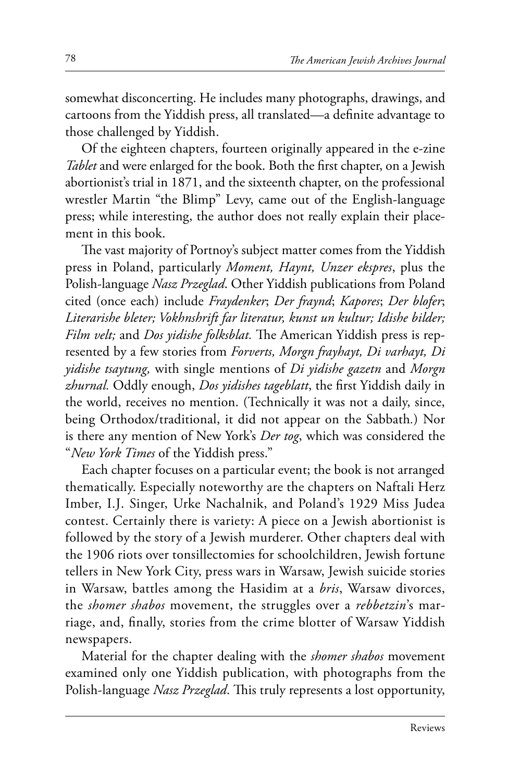somewhat disconcerting. He includes many photographs, drawings, and cartoons from the Yiddish press, all translated—a definite advantage to those challenged by Yiddish.

Of the eighteen chapters, fourteen originally appeared in the e-zine *Tablet* and were enlarged for the book. Both the first chapter, on a Jewish abortionist's trial in 1871, and the sixteenth chapter, on the professional wrestler Martin "the Blimp" Levy, came out of the English-language press; while interesting, the author does not really explain their placement in this book.

The vast majority of Portnoy's subject matter comes from the Yiddish press in Poland, particularly *Moment, Haynt, Unzer ekspres*, plus the Polish-language *Nasz Przeglad*. Other Yiddish publications from Poland cited (once each) include *Fraydenker*; *Der fraynd*; *Kapores*; *Der blofer*; *Literarishe bleter; Vokhnshrift far literatur, kunst un kultur; Idishe bilder; Film velt;* and *Dos yidishe folksblat*. The American Yiddish press is represented by a few stories from *Forverts, Morgn frayhayt, Di varhayt, Di yidishe tsaytung,* with single mentions of *Di yidishe gazetn* and *Morgn zhurnal.* Oddly enough, *Dos yidishes tageblatt*, the first Yiddish daily in the world, receives no mention. (Technically it was not a daily, since, being Orthodox/traditional, it did not appear on the Sabbath*.*) Nor is there any mention of New York's *Der tog*, which was considered the "*New York Times* of the Yiddish press."

Each chapter focuses on a particular event; the book is not arranged thematically. Especially noteworthy are the chapters on Naftali Herz Imber, I.J. Singer, Urke Nachalnik, and Poland's 1929 Miss Judea contest. Certainly there is variety: A piece on a Jewish abortionist is followed by the story of a Jewish murderer. Other chapters deal with the 1906 riots over tonsillectomies for schoolchildren, Jewish fortune tellers in New York City, press wars in Warsaw, Jewish suicide stories in Warsaw, battles among the Hasidim at a *bris*, Warsaw divorces, the *shomer shabos* movement, the struggles over a *rebbetzin*'s mar‑ riage, and, finally, stories from the crime blotter of Warsaw Yiddish newspapers.

Material for the chapter dealing with the *shomer shabos* movement examined only one Yiddish publication, with photographs from the Polish-language *Nasz Przeglad*. This truly represents a lost opportunity,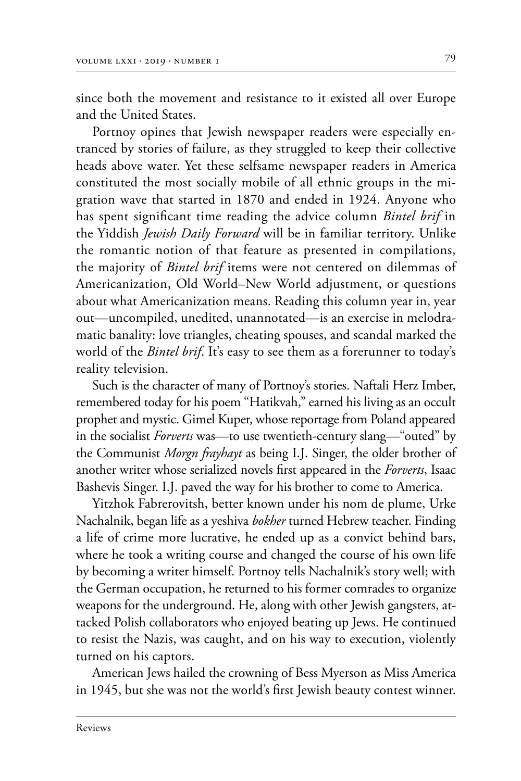since both the movement and resistance to it existed all over Europe and the United States.

Portnoy opines that Jewish newspaper readers were especially entranced by stories of failure, as they struggled to keep their collective heads above water. Yet these selfsame newspaper readers in America constituted the most socially mobile of all ethnic groups in the migration wave that started in 1870 and ended in 1924. Anyone who has spent significant time reading the advice column *Bintel brif* in the Yiddish *Jewish Daily Forward* will be in familiar territory. Unlike the romantic notion of that feature as presented in compilations, the majority of *Bintel brif* items were not centered on dilemmas of Americanization, Old World–New World adjustment, or questions about what Americanization means. Reading this column year in, year out—uncompiled, unedited, unannotated—is an exercise in melodramatic banality: love triangles, cheating spouses, and scandal marked the world of the *Bintel brif*. It's easy to see them as a forerunner to today's reality television.

Such is the character of many of Portnoy's stories. Naftali Herz Imber, remembered today for his poem "Hatikvah," earned his living as an occult prophet and mystic. Gimel Kuper, whose reportage from Poland appeared in the socialist *Forverts* was—to use twentieth-century slang—"outed" by the Communist *Morgn frayhayt* as being I.J. Singer, the older brother of another writer whose serialized novels first appeared in the *Forverts*, Isaac Bashevis Singer. I.J. paved the way for his brother to come to America.

Yitzhok Fabrerovitsh, better known under his nom de plume, Urke Nachalnik, began life as a yeshiva *bokher* turned Hebrew teacher. Finding a life of crime more lucrative, he ended up as a convict behind bars, where he took a writing course and changed the course of his own life by becoming a writer himself. Portnoy tells Nachalnik's story well; with the German occupation, he returned to his former comrades to organize weapons for the underground. He, along with other Jewish gangsters, attacked Polish collaborators who enjoyed beating up Jews. He continued to resist the Nazis, was caught, and on his way to execution, violently turned on his captors.

American Jews hailed the crowning of Bess Myerson as Miss America in 1945, but she was not the world's first Jewish beauty contest winner.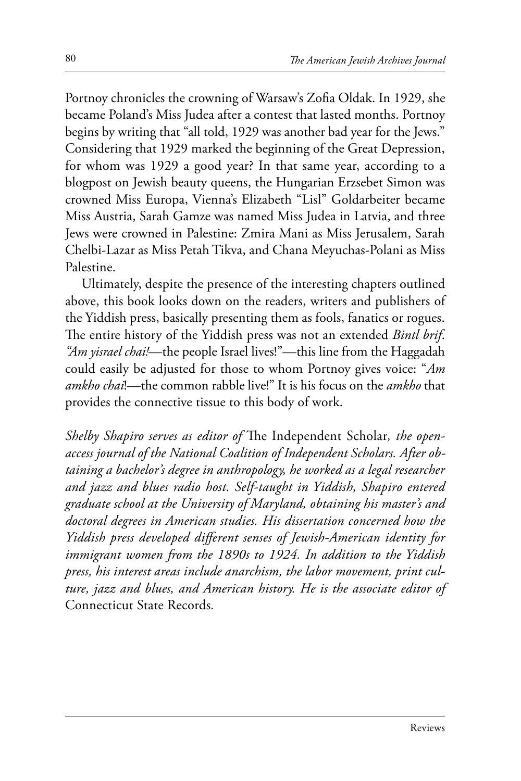Portnoy chronicles the crowning of Warsaw's Zofia Oldak. In 1929, she became Poland's Miss Judea after a contest that lasted months. Portnoy begins by writing that "all told, 1929 was another bad year for the Jews." Considering that 1929 marked the beginning of the Great Depression, for whom was 1929 a good year? In that same year, according to a blogpost on Jewish beauty queens, the Hungarian Erzsebet Simon was crowned Miss Europa, Vienna's Elizabeth "Lisl" Goldarbeiter became Miss Austria, Sarah Gamze was named Miss Judea in Latvia, and three Jews were crowned in Palestine: Zmira Mani as Miss Jerusalem, Sarah Chelbi-Lazar as Miss Petah Tikva, and Chana Meyuchas-Polani as Miss Palestine.

Ultimately, despite the presence of the interesting chapters outlined above, this book looks down on the readers, writers and publishers of the Yiddish press, basically presenting them as fools, fanatics or rogues. The entire history of the Yiddish press was not an extended *Bintl brif*. *"Am yisrael chai!*—the people Israel lives!"—this line from the Haggadah could easily be adjusted for those to whom Portnoy gives voice: "*Am amkho chai*!—the common rabble live!" It is his focus on the *amkho* that provides the connective tissue to this body of work.

*Shelby Shapiro serves as editor of* The Independent Scholar*, the openaccess journal of the National Coalition of Independent Scholars. After obtaining a bachelor's degree in anthropology, he worked as a legal researcher and jazz and blues radio host. Self-taught in Yiddish, Shapiro entered graduate school at the University of Maryland, obtaining his master's and doctoral degrees in American studies. His dissertation concerned how the Yiddish press developed different senses of Jewish-American identity for immigrant women from the 1890s to 1924. In addition to the Yiddish press, his interest areas include anarchism, the labor movement, print culture, jazz and blues, and American history. He is the associate editor of*  Connecticut State Records*.*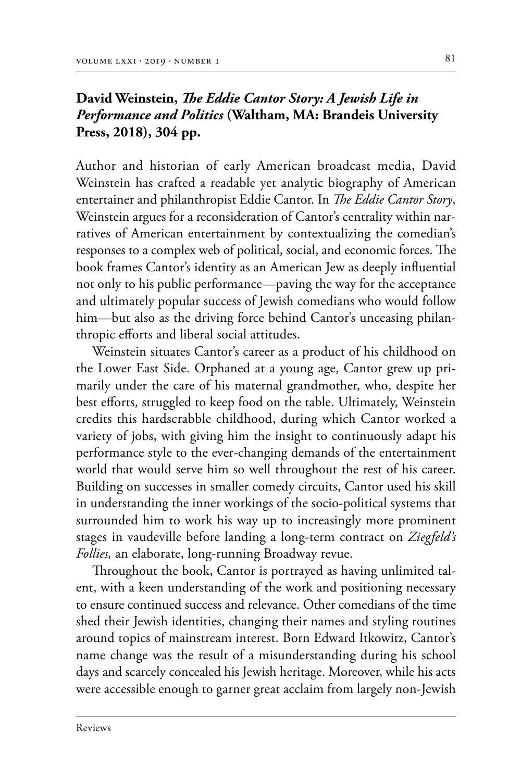#### **David Weinstein,** *The Eddie Cantor Story: A Jewish Life in Performance and Politics* **(Waltham, MA: Brandeis University Press, 2018), 304 pp.**

Author and historian of early American broadcast media, David Weinstein has crafted a readable yet analytic biography of American entertainer and philanthropist Eddie Cantor. In *The Eddie Cantor Story*, Weinstein argues for a reconsideration of Cantor's centrality within narratives of American entertainment by contextualizing the comedian's responses to a complex web of political, social, and economic forces. The book frames Cantor's identity as an American Jew as deeply influential not only to his public performance—paving the way for the acceptance and ultimately popular success of Jewish comedians who would follow him—but also as the driving force behind Cantor's unceasing philanthropic efforts and liberal social attitudes.

Weinstein situates Cantor's career as a product of his childhood on the Lower East Side. Orphaned at a young age, Cantor grew up pri‑ marily under the care of his maternal grandmother, who, despite her best efforts, struggled to keep food on the table. Ultimately, Weinstein credits this hardscrabble childhood, during which Cantor worked a variety of jobs, with giving him the insight to continuously adapt his performance style to the ever-changing demands of the entertainment world that would serve him so well throughout the rest of his career. Building on successes in smaller comedy circuits, Cantor used his skill in understanding the inner workings of the socio-political systems that surrounded him to work his way up to increasingly more prominent stages in vaudeville before landing a long-term contract on *Ziegfeld's Follies,* an elaborate, long-running Broadway revue.

Throughout the book, Cantor is portrayed as having unlimited talent, with a keen understanding of the work and positioning necessary to ensure continued success and relevance. Other comedians of the time shed their Jewish identities, changing their names and styling routines around topics of mainstream interest. Born Edward Itkowitz, Cantor's name change was the result of a misunderstanding during his school days and scarcely concealed his Jewish heritage. Moreover, while his acts were accessible enough to garner great acclaim from largely non-Jewish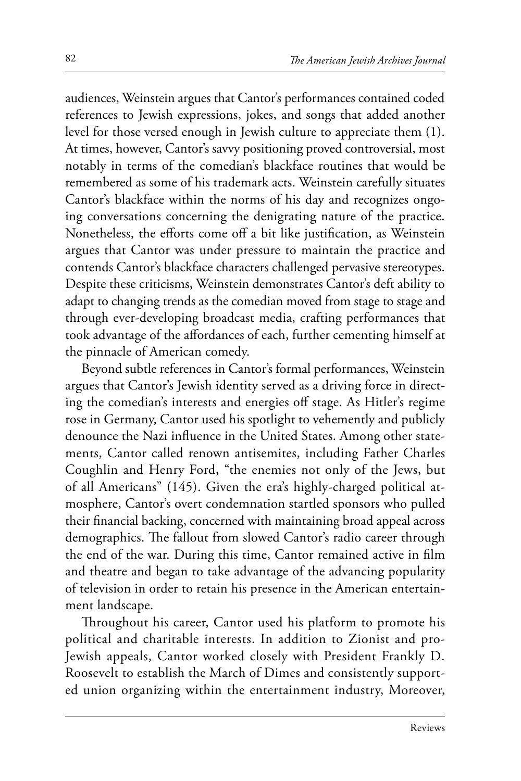audiences, Weinstein argues that Cantor's performances contained coded references to Jewish expressions, jokes, and songs that added another level for those versed enough in Jewish culture to appreciate them (1). At times, however, Cantor's savvy positioning proved controversial, most notably in terms of the comedian's blackface routines that would be remembered as some of his trademark acts. Weinstein carefully situates Cantor's blackface within the norms of his day and recognizes ongoing conversations concerning the denigrating nature of the practice. Nonetheless, the efforts come off a bit like justification, as Weinstein argues that Cantor was under pressure to maintain the practice and contends Cantor's blackface characters challenged pervasive stereotypes. Despite these criticisms, Weinstein demonstrates Cantor's deft ability to adapt to changing trends as the comedian moved from stage to stage and through ever-developing broadcast media, crafting performances that took advantage of the affordances of each, further cementing himself at the pinnacle of American comedy.

Beyond subtle references in Cantor's formal performances, Weinstein argues that Cantor's Jewish identity served as a driving force in directing the comedian's interests and energies off stage. As Hitler's regime rose in Germany, Cantor used his spotlight to vehemently and publicly denounce the Nazi influence in the United States. Among other statements, Cantor called renown antisemites, including Father Charles Coughlin and Henry Ford, "the enemies not only of the Jews, but of all Americans" (145). Given the era's highly-charged political atmosphere, Cantor's overt condemnation startled sponsors who pulled their financial backing, concerned with maintaining broad appeal across demographics. The fallout from slowed Cantor's radio career through the end of the war. During this time, Cantor remained active in film and theatre and began to take advantage of the advancing popularity of television in order to retain his presence in the American entertainment landscape.

Throughout his career, Cantor used his platform to promote his political and charitable interests. In addition to Zionist and pro-Jewish appeals, Cantor worked closely with President Frankly D. Roosevelt to establish the March of Dimes and consistently supported union organizing within the entertainment industry, Moreover,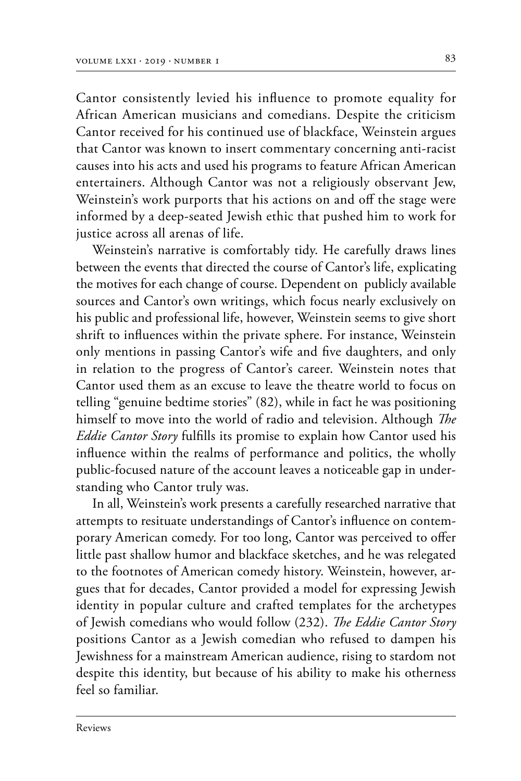Cantor consistently levied his influence to promote equality for African American musicians and comedians. Despite the criticism Cantor received for his continued use of blackface, Weinstein argues that Cantor was known to insert commentary concerning anti-racist causes into his acts and used his programs to feature African American entertainers. Although Cantor was not a religiously observant Jew, Weinstein's work purports that his actions on and off the stage were informed by a deep-seated Jewish ethic that pushed him to work for justice across all arenas of life.

Weinstein's narrative is comfortably tidy. He carefully draws lines between the events that directed the course of Cantor's life, explicating the motives for each change of course. Dependent on publicly available sources and Cantor's own writings, which focus nearly exclusively on his public and professional life, however, Weinstein seems to give short shrift to influences within the private sphere. For instance, Weinstein only mentions in passing Cantor's wife and five daughters, and only in relation to the progress of Cantor's career. Weinstein notes that Cantor used them as an excuse to leave the theatre world to focus on telling "genuine bedtime stories" (82), while in fact he was positioning himself to move into the world of radio and television. Although *The Eddie Cantor Story* fulfills its promise to explain how Cantor used his influence within the realms of performance and politics, the wholly public-focused nature of the account leaves a noticeable gap in understanding who Cantor truly was.

In all, Weinstein's work presents a carefully researched narrative that attempts to resituate understandings of Cantor's influence on contemporary American comedy. For too long, Cantor was perceived to offer little past shallow humor and blackface sketches, and he was relegated to the footnotes of American comedy history. Weinstein, however, argues that for decades, Cantor provided a model for expressing Jewish identity in popular culture and crafted templates for the archetypes of Jewish comedians who would follow (232). *The Eddie Cantor Story* positions Cantor as a Jewish comedian who refused to dampen his Jewishness for a mainstream American audience, rising to stardom not despite this identity, but because of his ability to make his otherness feel so familiar.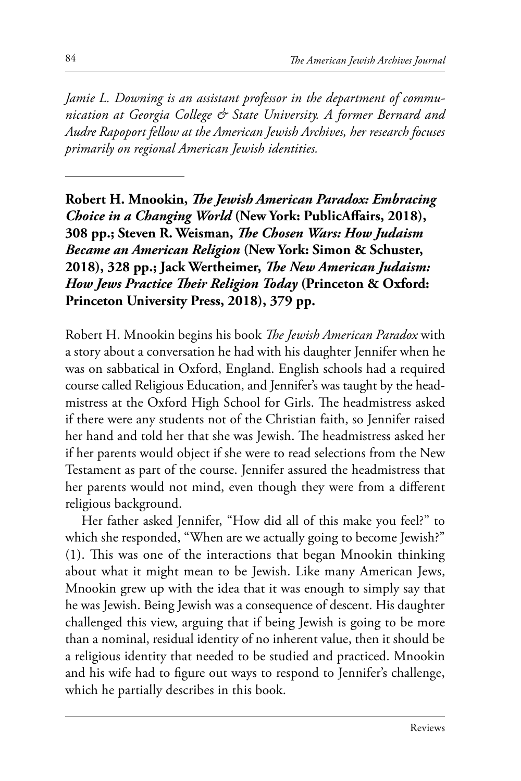*Jamie L. Downing is an assistant professor in the department of communication at Georgia College & State University. A former Bernard and Audre Rapoport fellow at the American Jewish Archives, her research focuses primarily on regional American Jewish identities.*

**Robert H. Mnookin,** *The Jewish American Paradox: Embracing Choice in a Changing World* **(New York: PublicAffairs, 2018), 308 pp.; Steven R. Weisman,** *The Chosen Wars: How Judaism Became an American Religion* **(New York: Simon & Schuster, 2018), 328 pp.; Jack Wertheimer,** *The New American Judaism: How Jews Practice Their Religion Today* **(Princeton & Oxford: Princeton University Press, 2018), 379 pp.**

Robert H. Mnookin begins his book *The Jewish American Paradox* with a story about a conversation he had with his daughter Jennifer when he was on sabbatical in Oxford, England. English schools had a required course called Religious Education, and Jennifer's was taught by the headmistress at the Oxford High School for Girls. The headmistress asked if there were any students not of the Christian faith, so Jennifer raised her hand and told her that she was Jewish. The headmistress asked her if her parents would object if she were to read selections from the New Testament as part of the course. Jennifer assured the headmistress that her parents would not mind, even though they were from a different religious background.

Her father asked Jennifer, "How did all of this make you feel?" to which she responded, "When are we actually going to become Jewish?" (1). This was one of the interactions that began Mnookin thinking about what it might mean to be Jewish. Like many American Jews, Mnookin grew up with the idea that it was enough to simply say that he was Jewish. Being Jewish was a consequence of descent. His daughter challenged this view, arguing that if being Jewish is going to be more than a nominal, residual identity of no inherent value, then it should be a religious identity that needed to be studied and practiced. Mnookin and his wife had to figure out ways to respond to Jennifer's challenge, which he partially describes in this book.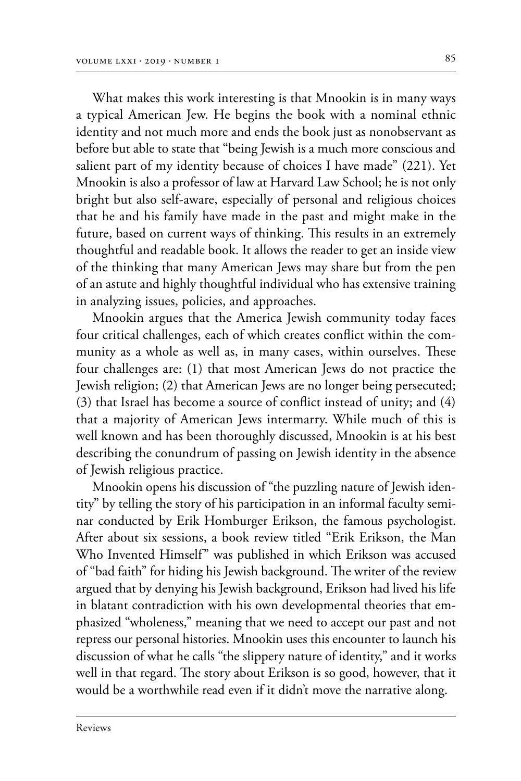What makes this work interesting is that Mnookin is in many ways a typical American Jew. He begins the book with a nominal ethnic identity and not much more and ends the book just as nonobservant as before but able to state that "being Jewish is a much more conscious and salient part of my identity because of choices I have made" (221). Yet Mnookin is also a professor of law at Harvard Law School; he is not only bright but also self-aware, especially of personal and religious choices that he and his family have made in the past and might make in the future, based on current ways of thinking. This results in an extremely thoughtful and readable book. It allows the reader to get an inside view of the thinking that many American Jews may share but from the pen of an astute and highly thoughtful individual who has extensive training in analyzing issues, policies, and approaches.

Mnookin argues that the America Jewish community today faces four critical challenges, each of which creates conflict within the community as a whole as well as, in many cases, within ourselves. These four challenges are: (1) that most American Jews do not practice the Jewish religion; (2) that American Jews are no longer being persecuted; (3) that Israel has become a source of conflict instead of unity; and (4) that a majority of American Jews intermarry. While much of this is well known and has been thoroughly discussed, Mnookin is at his best describing the conundrum of passing on Jewish identity in the absence of Jewish religious practice.

Mnookin opens his discussion of "the puzzling nature of Jewish identity" by telling the story of his participation in an informal faculty seminar conducted by Erik Homburger Erikson, the famous psychologist. After about six sessions, a book review titled "Erik Erikson, the Man Who Invented Himself" was published in which Erikson was accused of "bad faith" for hiding his Jewish background. The writer of the review argued that by denying his Jewish background, Erikson had lived his life in blatant contradiction with his own developmental theories that emphasized "wholeness," meaning that we need to accept our past and not repress our personal histories. Mnookin uses this encounter to launch his discussion of what he calls "the slippery nature of identity," and it works well in that regard. The story about Erikson is so good, however, that it would be a worthwhile read even if it didn't move the narrative along.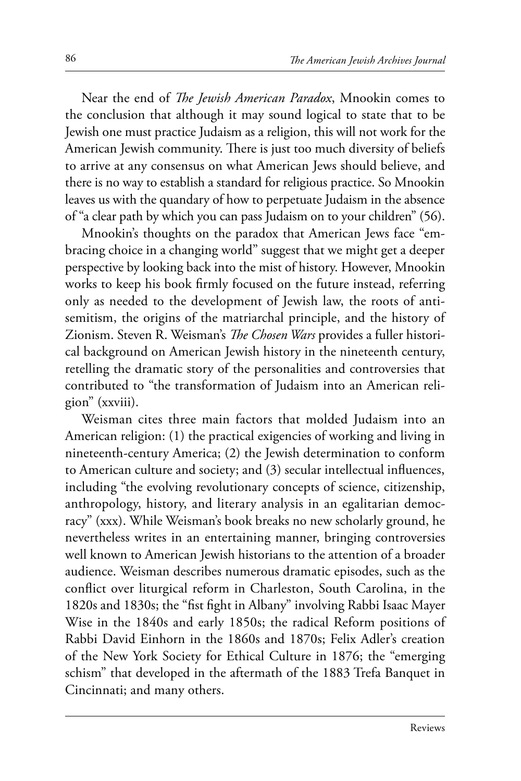Near the end of *The Jewish American Paradox*, Mnookin comes to the conclusion that although it may sound logical to state that to be Jewish one must practice Judaism as a religion, this will not work for the American Jewish community. There is just too much diversity of beliefs to arrive at any consensus on what American Jews should believe, and there is no way to establish a standard for religious practice. So Mnookin leaves us with the quandary of how to perpetuate Judaism in the absence of "a clear path by which you can pass Judaism on to your children" (56).

Mnookin's thoughts on the paradox that American Jews face "embracing choice in a changing world" suggest that we might get a deeper perspective by looking back into the mist of history. However, Mnookin works to keep his book firmly focused on the future instead, referring only as needed to the development of Jewish law, the roots of antisemitism, the origins of the matriarchal principle, and the history of Zionism. Steven R. Weisman's *The Chosen Wars* provides a fuller historical background on American Jewish history in the nineteenth century, retelling the dramatic story of the personalities and controversies that contributed to "the transformation of Judaism into an American religion" (xxviii).

Weisman cites three main factors that molded Judaism into an American religion: (1) the practical exigencies of working and living in nineteenth-century America; (2) the Jewish determination to conform to American culture and society; and (3) secular intellectual influences, including "the evolving revolutionary concepts of science, citizenship, anthropology, history, and literary analysis in an egalitarian democracy" (xxx). While Weisman's book breaks no new scholarly ground, he nevertheless writes in an entertaining manner, bringing controversies well known to American Jewish historians to the attention of a broader audience. Weisman describes numerous dramatic episodes, such as the conflict over liturgical reform in Charleston, South Carolina, in the 1820s and 1830s; the "fist fight in Albany" involving Rabbi Isaac Mayer Wise in the 1840s and early 1850s; the radical Reform positions of Rabbi David Einhorn in the 1860s and 1870s; Felix Adler's creation of the New York Society for Ethical Culture in 1876; the "emerging schism" that developed in the aftermath of the 1883 Trefa Banquet in Cincinnati; and many others.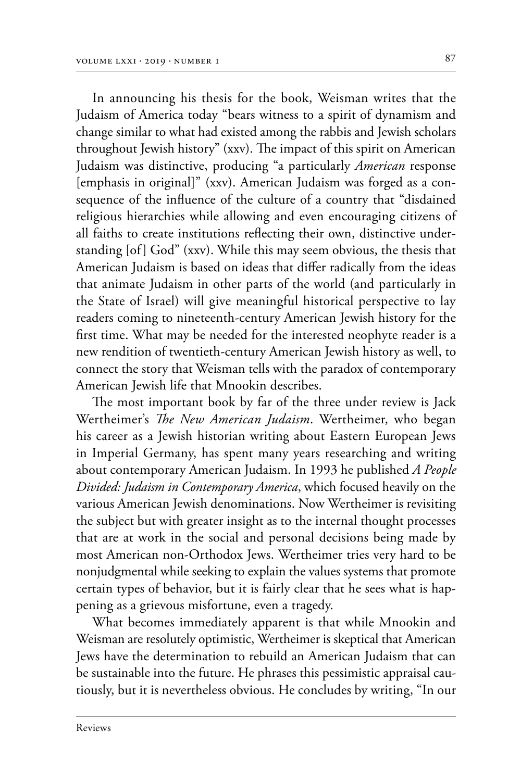In announcing his thesis for the book, Weisman writes that the Judaism of America today "bears witness to a spirit of dynamism and change similar to what had existed among the rabbis and Jewish scholars throughout Jewish history" (xxv). The impact of this spirit on American Judaism was distinctive, producing "a particularly *American* response [emphasis in original]" (xxv). American Judaism was forged as a consequence of the influence of the culture of a country that "disdained religious hierarchies while allowing and even encouraging citizens of all faiths to create institutions reflecting their own, distinctive understanding [of] God" (xxv). While this may seem obvious, the thesis that American Judaism is based on ideas that differ radically from the ideas that animate Judaism in other parts of the world (and particularly in the State of Israel) will give meaningful historical perspective to lay readers coming to nineteenth-century American Jewish history for the first time. What may be needed for the interested neophyte reader is a new rendition of twentieth-century American Jewish history as well, to connect the story that Weisman tells with the paradox of contemporary American Jewish life that Mnookin describes.

The most important book by far of the three under review is Jack Wertheimer's *The New American Judaism*. Wertheimer, who began his career as a Jewish historian writing about Eastern European Jews in Imperial Germany, has spent many years researching and writing about contemporary American Judaism. In 1993 he published *A People Divided: Judaism in Contemporary America*, which focused heavily on the various American Jewish denominations. Now Wertheimer is revisiting the subject but with greater insight as to the internal thought processes that are at work in the social and personal decisions being made by most American non-Orthodox Jews. Wertheimer tries very hard to be nonjudgmental while seeking to explain the values systems that promote certain types of behavior, but it is fairly clear that he sees what is happening as a grievous misfortune, even a tragedy.

What becomes immediately apparent is that while Mnookin and Weisman are resolutely optimistic, Wertheimer is skeptical that American Jews have the determination to rebuild an American Judaism that can be sustainable into the future. He phrases this pessimistic appraisal cautiously, but it is nevertheless obvious. He concludes by writing, "In our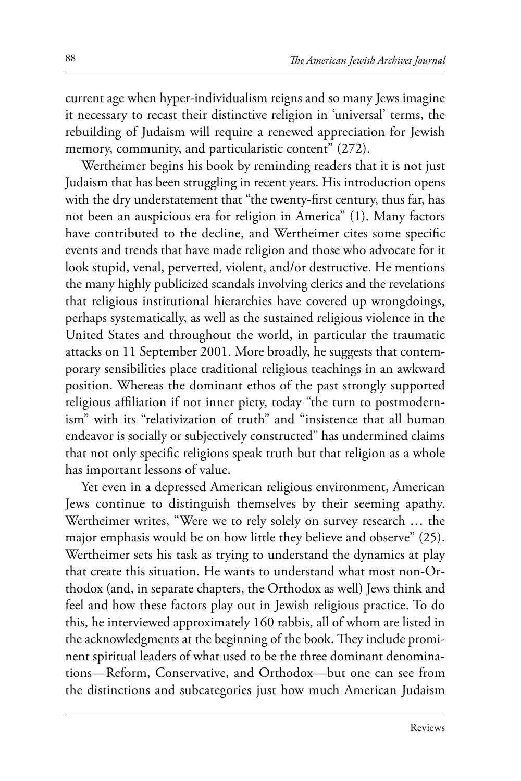current age when hyper-individualism reigns and so many Jews imagine it necessary to recast their distinctive religion in 'universal' terms, the rebuilding of Judaism will require a renewed appreciation for Jewish memory, community, and particularistic content" (272).

Wertheimer begins his book by reminding readers that it is not just Judaism that has been struggling in recent years. His introduction opens with the dry understatement that "the twenty-first century, thus far, has not been an auspicious era for religion in America" (1). Many factors have contributed to the decline, and Wertheimer cites some specific events and trends that have made religion and those who advocate for it look stupid, venal, perverted, violent, and/or destructive. He mentions the many highly publicized scandals involving clerics and the revelations that religious institutional hierarchies have covered up wrongdoings, perhaps systematically, as well as the sustained religious violence in the United States and throughout the world, in particular the traumatic attacks on 11 September 2001. More broadly, he suggests that contemporary sensibilities place traditional religious teachings in an awkward position. Whereas the dominant ethos of the past strongly supported religious affiliation if not inner piety, today "the turn to postmodernism" with its "relativization of truth" and "insistence that all human endeavor is socially or subjectively constructed" has undermined claims that not only specific religions speak truth but that religion as a whole has important lessons of value.

Yet even in a depressed American religious environment, American Jews continue to distinguish themselves by their seeming apathy. Wertheimer writes, "Were we to rely solely on survey research … the major emphasis would be on how little they believe and observe" (25). Wertheimer sets his task as trying to understand the dynamics at play that create this situation. He wants to understand what most non-Orthodox (and, in separate chapters, the Orthodox as well) Jews think and feel and how these factors play out in Jewish religious practice. To do this, he interviewed approximately 160 rabbis, all of whom are listed in the acknowledgments at the beginning of the book. They include prominent spiritual leaders of what used to be the three dominant denominations—Reform, Conservative, and Orthodox—but one can see from the distinctions and subcategories just how much American Judaism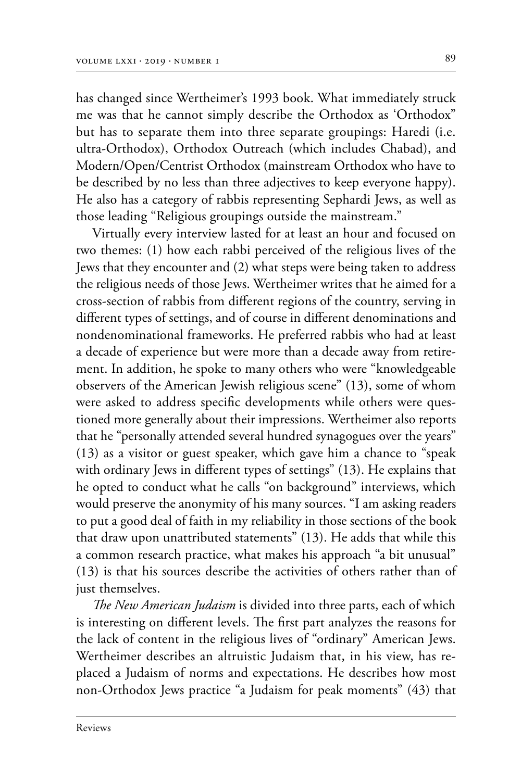has changed since Wertheimer's 1993 book. What immediately struck me was that he cannot simply describe the Orthodox as 'Orthodox" but has to separate them into three separate groupings: Haredi (i.e. ultra-Orthodox), Orthodox Outreach (which includes Chabad), and Modern/Open/Centrist Orthodox (mainstream Orthodox who have to be described by no less than three adjectives to keep everyone happy). He also has a category of rabbis representing Sephardi Jews, as well as those leading "Religious groupings outside the mainstream."

Virtually every interview lasted for at least an hour and focused on two themes: (1) how each rabbi perceived of the religious lives of the Jews that they encounter and (2) what steps were being taken to address the religious needs of those Jews. Wertheimer writes that he aimed for a cross-section of rabbis from different regions of the country, serving in different types of settings, and of course in different denominations and nondenominational frameworks. He preferred rabbis who had at least a decade of experience but were more than a decade away from retirement. In addition, he spoke to many others who were "knowledgeable observers of the American Jewish religious scene" (13), some of whom were asked to address specific developments while others were questioned more generally about their impressions. Wertheimer also reports that he "personally attended several hundred synagogues over the years" (13) as a visitor or guest speaker, which gave him a chance to "speak with ordinary Jews in different types of settings" (13). He explains that he opted to conduct what he calls "on background" interviews, which would preserve the anonymity of his many sources. "I am asking readers to put a good deal of faith in my reliability in those sections of the book that draw upon unattributed statements" (13). He adds that while this a common research practice, what makes his approach "a bit unusual" (13) is that his sources describe the activities of others rather than of just themselves.

*The New American Judaism* is divided into three parts, each of which is interesting on different levels. The first part analyzes the reasons for the lack of content in the religious lives of "ordinary" American Jews. Wertheimer describes an altruistic Judaism that, in his view, has re‑ placed a Judaism of norms and expectations. He describes how most non-Orthodox Jews practice "a Judaism for peak moments" (43) that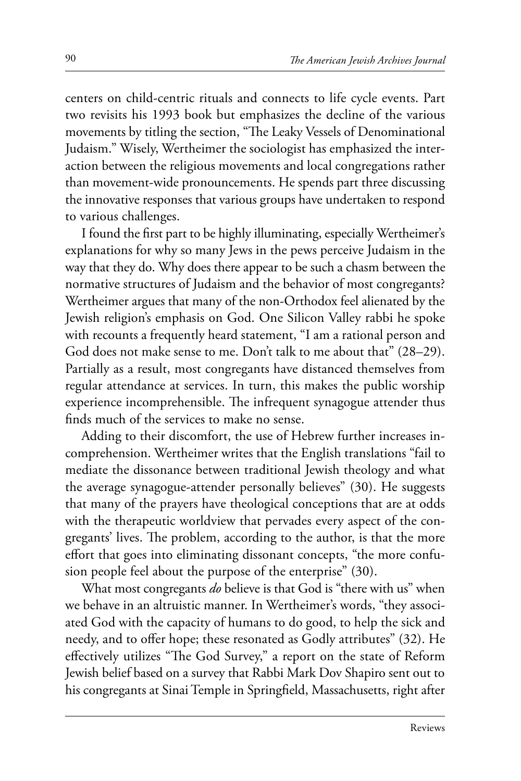centers on child-centric rituals and connects to life cycle events. Part two revisits his 1993 book but emphasizes the decline of the various movements by titling the section, "The Leaky Vessels of Denominational Judaism." Wisely, Wertheimer the sociologist has emphasized the interaction between the religious movements and local congregations rather than movement-wide pronouncements. He spends part three discussing the innovative responses that various groups have undertaken to respond to various challenges.

I found the first part to be highly illuminating, especially Wertheimer's explanations for why so many Jews in the pews perceive Judaism in the way that they do. Why does there appear to be such a chasm between the normative structures of Judaism and the behavior of most congregants? Wertheimer argues that many of the non-Orthodox feel alienated by the Jewish religion's emphasis on God. One Silicon Valley rabbi he spoke with recounts a frequently heard statement, "I am a rational person and God does not make sense to me. Don't talk to me about that" (28–29). Partially as a result, most congregants have distanced themselves from regular attendance at services. In turn, this makes the public worship experience incomprehensible. The infrequent synagogue attender thus finds much of the services to make no sense.

Adding to their discomfort, the use of Hebrew further increases incomprehension. Wertheimer writes that the English translations "fail to mediate the dissonance between traditional Jewish theology and what the average synagogue-attender personally believes" (30). He suggests that many of the prayers have theological conceptions that are at odds with the therapeutic worldview that pervades every aspect of the congregants' lives. The problem, according to the author, is that the more effort that goes into eliminating dissonant concepts, "the more confusion people feel about the purpose of the enterprise" (30).

What most congregants *do* believe is that God is "there with us" when we behave in an altruistic manner. In Wertheimer's words, "they associated God with the capacity of humans to do good, to help the sick and needy, and to offer hope; these resonated as Godly attributes" (32). He effectively utilizes "The God Survey," a report on the state of Reform Jewish belief based on a survey that Rabbi Mark Dov Shapiro sent out to his congregants at Sinai Temple in Springfield, Massachusetts, right after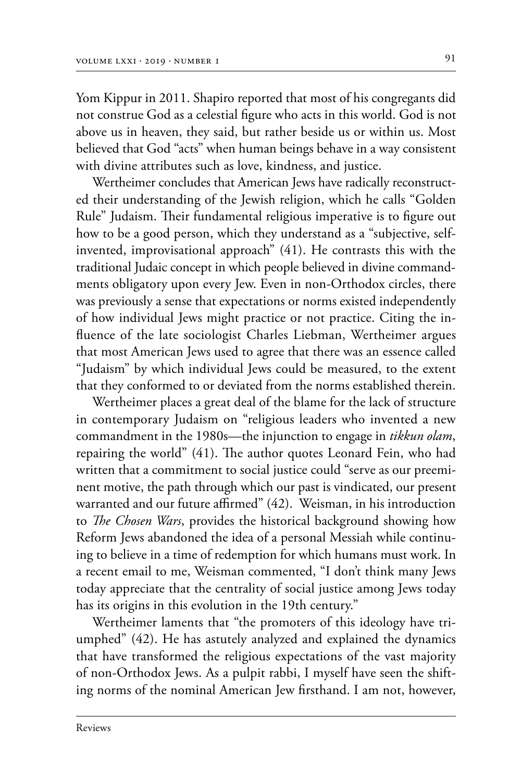Yom Kippur in 2011. Shapiro reported that most of his congregants did not construe God as a celestial figure who acts in this world. God is not above us in heaven, they said, but rather beside us or within us. Most believed that God "acts" when human beings behave in a way consistent with divine attributes such as love, kindness, and justice.

Wertheimer concludes that American Jews have radically reconstructed their understanding of the Jewish religion, which he calls "Golden Rule" Judaism. Their fundamental religious imperative is to figure out how to be a good person, which they understand as a "subjective, selfinvented, improvisational approach" (41). He contrasts this with the traditional Judaic concept in which people believed in divine commandments obligatory upon every Jew. Even in non-Orthodox circles, there was previously a sense that expectations or norms existed independently of how individual Jews might practice or not practice. Citing the influence of the late sociologist Charles Liebman, Wertheimer argues that most American Jews used to agree that there was an essence called "Judaism" by which individual Jews could be measured, to the extent that they conformed to or deviated from the norms established therein.

Wertheimer places a great deal of the blame for the lack of structure in contemporary Judaism on "religious leaders who invented a new commandment in the 1980s—the injunction to engage in *tikkun olam*, repairing the world" (41). The author quotes Leonard Fein, who had written that a commitment to social justice could "serve as our preeminent motive, the path through which our past is vindicated, our present warranted and our future affirmed" (42). Weisman, in his introduction to *The Chosen Wars*, provides the historical background showing how Reform Jews abandoned the idea of a personal Messiah while continuing to believe in a time of redemption for which humans must work. In a recent email to me, Weisman commented, "I don't think many Jews today appreciate that the centrality of social justice among Jews today has its origins in this evolution in the 19th century."

Wertheimer laments that "the promoters of this ideology have triumphed" (42). He has astutely analyzed and explained the dynamics that have transformed the religious expectations of the vast majority of non-Orthodox Jews. As a pulpit rabbi, I myself have seen the shifting norms of the nominal American Jew firsthand. I am not, however,